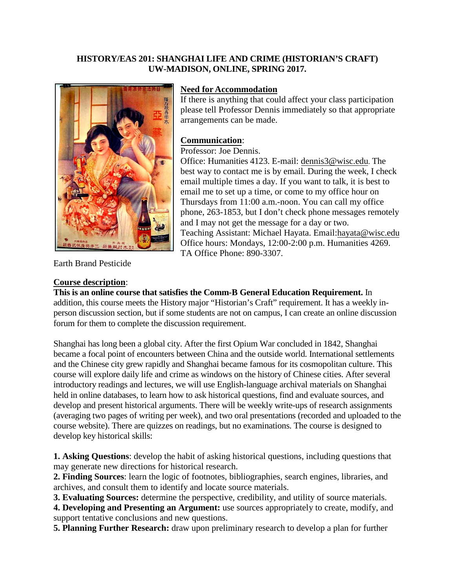## **HISTORY/EAS 201: SHANGHAI LIFE AND CRIME (HISTORIAN'S CRAFT) UW-MADISON, ONLINE, SPRING 2017.**



### **Need for Accommodation**

If there is anything that could affect your class participation please tell Professor Dennis immediately so that appropriate arrangements can be made.

### **Communication**:

Professor: Joe Dennis.

Office: Humanities 4123. E-mail: [dennis3@wisc.edu](mailto:dennis3@wisc.edu). The best way to contact me is by email. During the week, I check email multiple times a day. If you want to talk, it is best to email me to set up a time, or come to my office hour on Thursdays from 11:00 a.m.-noon. You can call my office phone, 263-1853, but I don't check phone messages remotely and I may not get the message for a day or two. Teaching Assistant: Michael Hayata. Email:hayata@wisc.edu Office hours: Mondays, 12:00-2:00 p.m. Humanities 4269. TA Office Phone: 890-3307.

Earth Brand Pesticide

#### **Course description**:

**This is an online course that satisfies the Comm-B General Education Requirement.** In addition, this course meets the History major "Historian's Craft" requirement. It has a weekly inperson discussion section, but if some students are not on campus, I can create an online discussion forum for them to complete the discussion requirement.

Shanghai has long been a global city. After the first Opium War concluded in 1842, Shanghai became a focal point of encounters between China and the outside world. International settlements and the Chinese city grew rapidly and Shanghai became famous for its cosmopolitan culture. This course will explore daily life and crime as windows on the history of Chinese cities. After several introductory readings and lectures, we will use English-language archival materials on Shanghai held in online databases, to learn how to ask historical questions, find and evaluate sources, and develop and present historical arguments. There will be weekly write-ups of research assignments (averaging two pages of writing per week), and two oral presentations (recorded and uploaded to the course website). There are quizzes on readings, but no examinations. The course is designed to develop key historical skills:

**1. Asking Questions**: develop the habit of asking historical questions, including questions that may generate new directions for historical research.

**2. Finding Sources**: learn the logic of footnotes, bibliographies, search engines, libraries, and archives, and consult them to identify and locate source materials.

**3. Evaluating Sources:** determine the perspective, credibility, and utility of source materials.

**4. Developing and Presenting an Argument:** use sources appropriately to create, modify, and support tentative conclusions and new questions.

**5. Planning Further Research:** draw upon preliminary research to develop a plan for further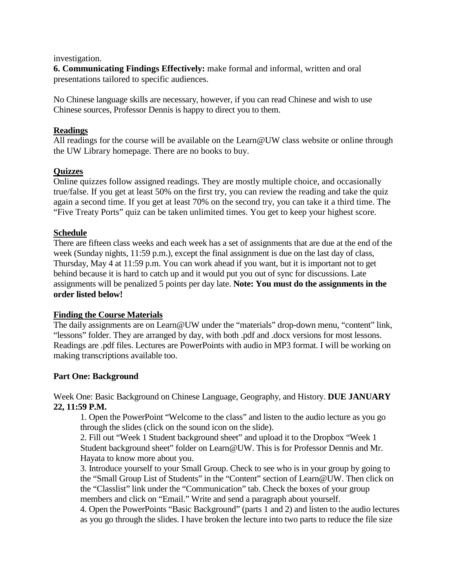#### investigation.

**6. Communicating Findings Effectively:** make formal and informal, written and oral presentations tailored to specific audiences.

No Chinese language skills are necessary, however, if you can read Chinese and wish to use Chinese sources, Professor Dennis is happy to direct you to them.

### **Readings**

All readings for the course will be available on the Learn@UW class website or online through the UW Library homepage. There are no books to buy.

## **Quizzes**

Online quizzes follow assigned readings. They are mostly multiple choice, and occasionally true/false. If you get at least 50% on the first try, you can review the reading and take the quiz again a second time. If you get at least 70% on the second try, you can take it a third time. The "Five Treaty Ports" quiz can be taken unlimited times. You get to keep your highest score.

## **Schedule**

There are fifteen class weeks and each week has a set of assignments that are due at the end of the week (Sunday nights, 11:59 p.m.), except the final assignment is due on the last day of class, Thursday, May 4 at 11:59 p.m. You can work ahead if you want, but it is important not to get behind because it is hard to catch up and it would put you out of sync for discussions. Late assignments will be penalized 5 points per day late. **Note: You must do the assignments in the order listed below!** 

#### **Finding the Course Materials**

The daily assignments are on Learn@UW under the "materials" drop-down menu, "content" link, "lessons" folder. They are arranged by day, with both .pdf and .docx versions for most lessons. Readings are .pdf files. Lectures are PowerPoints with audio in MP3 format. I will be working on making transcriptions available too.

#### **Part One: Background**

Week One: Basic Background on Chinese Language, Geography, and History. **DUE JANUARY 22, 11:59 P.M.**

1. Open the PowerPoint "Welcome to the class" and listen to the audio lecture as you go through the slides (click on the sound icon on the slide).

2. Fill out "Week 1 Student background sheet" and upload it to the Dropbox "Week 1 Student background sheet" folder on Learn@UW. This is for Professor Dennis and Mr. Hayata to know more about you.

3. Introduce yourself to your Small Group. Check to see who is in your group by going to the "Small Group List of Students" in the "Content" section of Learn@UW. Then click on the "Classlist" link under the "Communication" tab. Check the boxes of your group members and click on "Email." Write and send a paragraph about yourself.

4. Open the PowerPoints "Basic Background" (parts 1 and 2) and listen to the audio lectures as you go through the slides. I have broken the lecture into two parts to reduce the file size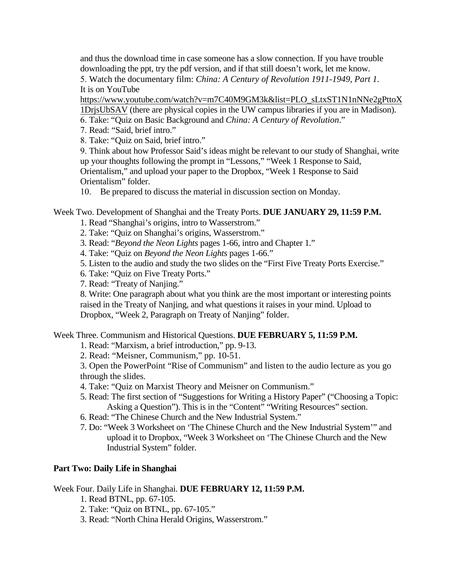and thus the download time in case someone has a slow connection. If you have trouble downloading the ppt, try the pdf version, and if that still doesn't work, let me know. 5. Watch the documentary film: *China: A Century of Revolution 1911-1949*, *Part 1*.

It is on YouTube

[https://www.youtube.com/watch?v=m7C40M9GM3k&list=PLO\\_sLtxST1N1nNNe2gPttoX](https://www.youtube.com/watch?v=m7C40M9GM3k&list=PLO_sLtxST1N1nNNe2gPttoX1DrjsUbSAV) [1DrjsUbSAV](https://www.youtube.com/watch?v=m7C40M9GM3k&list=PLO_sLtxST1N1nNNe2gPttoX1DrjsUbSAV) (there are physical copies in the UW campus libraries if you are in Madison).

6. Take: "Quiz on Basic Background and *China: A Century of Revolution*."

7. Read: "Said, brief intro."

8. Take: "Quiz on Said, brief intro."

9. Think about how Professor Said's ideas might be relevant to our study of Shanghai, write up your thoughts following the prompt in "Lessons," "Week 1 Response to Said, Orientalism," and upload your paper to the Dropbox, "Week 1 Response to Said Orientalism" folder.

10. Be prepared to discuss the material in discussion section on Monday.

## Week Two. Development of Shanghai and the Treaty Ports. **DUE JANUARY 29, 11:59 P.M.**

1. Read "Shanghai's origins, intro to Wasserstrom."

2. Take: "Quiz on Shanghai's origins, Wasserstrom."

3. Read: "*Beyond the Neon Lights* pages 1-66, intro and Chapter 1."

4. Take: "Quiz on *Beyond the Neon Lights* pages 1-66."

5. Listen to the audio and study the two slides on the "First Five Treaty Ports Exercise."

6. Take: "Quiz on Five Treaty Ports."

7. Read: "Treaty of Nanjing."

8. Write: One paragraph about what you think are the most important or interesting points raised in the Treaty of Nanjing, and what questions it raises in your mind. Upload to Dropbox, "Week 2, Paragraph on Treaty of Nanjing" folder.

# Week Three. Communism and Historical Questions. **DUE FEBRUARY 5, 11:59 P.M.**

1. Read: "Marxism, a brief introduction," pp. 9-13.

2. Read: "Meisner, Communism," pp. 10-51.

3. Open the PowerPoint "Rise of Communism" and listen to the audio lecture as you go through the slides.

- 4. Take: "Quiz on Marxist Theory and Meisner on Communism."
- 5. Read: The first section of "Suggestions for Writing a History Paper" ("Choosing a Topic: Asking a Question"). This is in the "Content" "Writing Resources" section.
- 6. Read: "The Chinese Church and the New Industrial System."
- 7. Do: "Week 3 Worksheet on 'The Chinese Church and the New Industrial System'" and upload it to Dropbox, "Week 3 Worksheet on 'The Chinese Church and the New Industrial System" folder.

#### **Part Two: Daily Life in Shanghai**

Week Four. Daily Life in Shanghai. **DUE FEBRUARY 12, 11:59 P.M.**

- 1. Read BTNL, pp. 67-105.
- 2. Take: "Quiz on BTNL, pp. 67-105."
- 3. Read: "North China Herald Origins, Wasserstrom."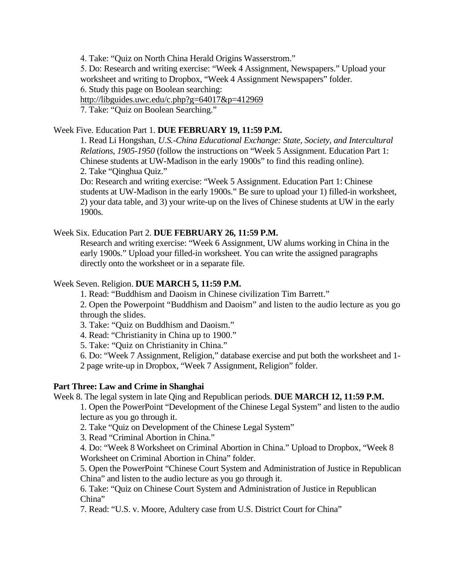4. Take: "Quiz on North China Herald Origins Wasserstrom."

5. Do: Research and writing exercise: "Week 4 Assignment, Newspapers." Upload your worksheet and writing to Dropbox, "Week 4 Assignment Newspapers" folder. 6. Study this page on Boolean searching: <http://libguides.uwc.edu/c.php?g=64017&p=412969> 7. Take: "Quiz on Boolean Searching."

# Week Five. Education Part 1. **DUE FEBRUARY 19, 11:59 P.M.**

1. Read Li Hongshan, *U.S.-China Educational Exchange: State, Society, and Intercultural Relations, 1905-1950* (follow the instructions on "Week 5 Assignment. Education Part 1: Chinese students at UW-Madison in the early 1900s" to find this reading online). 2. Take "Qinghua Quiz."

Do: Research and writing exercise: "Week 5 Assignment. Education Part 1: Chinese students at UW-Madison in the early 1900s." Be sure to upload your 1) filled-in worksheet, 2) your data table, and 3) your write-up on the lives of Chinese students at UW in the early 1900s.

# Week Six. Education Part 2. **DUE FEBRUARY 26, 11:59 P.M.**

Research and writing exercise: "Week 6 Assignment, UW alums working in China in the early 1900s." Upload your filled-in worksheet. You can write the assigned paragraphs directly onto the worksheet or in a separate file.

# Week Seven. Religion. **DUE MARCH 5, 11:59 P.M.**

1. Read: ["Buddhism and Daoism in Chinese civilization Tim Barrett.](https://uwmad.courses.wisconsin.edu/d2l/le/content/3318463/viewContent/20221301/View)"

2. Open the Powerpoint "Buddhism and Daoism" and listen to the audio lecture as you go through the slides.

3. Take: "Quiz on Buddhism and Daoism."

4. Read: "Christianity in China up to 1900."

5. Take: "Quiz on Christianity in China."

6. Do: "Week 7 Assignment, Religion," database exercise and put both the worksheet and 1- 2 page write-up in Dropbox, "Week 7 Assignment, Religion" folder.

# **Part Three: Law and Crime in Shanghai**

Week 8. The legal system in late Qing and Republican periods. **DUE MARCH 12, 11:59 P.M.**

1. Open the PowerPoint "Development of the Chinese Legal System" and listen to the audio lecture as you go through it.

2. Take "Quiz on Development of the Chinese Legal System"

3. Read "Criminal Abortion in China."

4. Do: "Week 8 Worksheet on Criminal Abortion in China." Upload to Dropbox, "Week 8 Worksheet on Criminal Abortion in China" folder.

5. Open the PowerPoint "Chinese Court System and Administration of Justice in Republican China" and listen to the audio lecture as you go through it.

6. Take: "Quiz on Chinese Court System and Administration of Justice in Republican China"

7. Read: "U.S. v. Moore, Adultery case from U.S. District Court for China"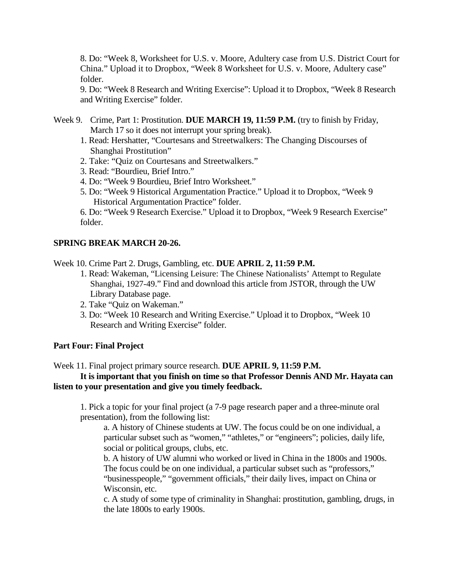8. Do: "Week 8, Worksheet for U.S. v. Moore, Adultery case from U.S. District Court for China." Upload it to Dropbox, "Week 8 Worksheet for U.S. v. Moore, Adultery case" folder.

9. Do: "Week 8 Research and Writing Exercise": Upload it to Dropbox, "Week 8 Research and Writing Exercise" folder.

- Week 9. Crime, Part 1: Prostitution. DUE MARCH 19, 11:59 P.M. (try to finish by Friday, March 17 so it does not interrupt your spring break).
	- 1. Read: Hershatter, "Courtesans and Streetwalkers: The Changing Discourses of Shanghai Prostitution"
	- 2. Take: "Quiz on Courtesans and Streetwalkers."
	- 3. Read: "Bourdieu, Brief Intro."
	- 4. Do: "Week 9 Bourdieu, Brief Intro Worksheet."
	- 5. Do: "Week 9 Historical Argumentation Practice." Upload it to Dropbox, "Week 9 Historical Argumentation Practice" folder.

6. Do: "Week 9 Research Exercise." Upload it to Dropbox, "Week 9 Research Exercise" folder.

## **SPRING BREAK MARCH 20-26.**

Week 10. Crime Part 2. Drugs, Gambling, etc. **DUE APRIL 2, 11:59 P.M.**

- 1. Read: Wakeman, "Licensing Leisure: The Chinese Nationalists' Attempt to Regulate Shanghai, 1927-49." Find and download this article from JSTOR, through the UW Library Database page.
- 2. Take "Quiz on Wakeman."
- 3. Do: "Week 10 Research and Writing Exercise." Upload it to Dropbox, "Week 10 Research and Writing Exercise" folder.

#### **Part Four: Final Project**

Week 11. Final project primary source research. **DUE APRIL 9, 11:59 P.M.**

## **It is important that you finish on time so that Professor Dennis AND Mr. Hayata can listen to your presentation and give you timely feedback.**

1. Pick a topic for your final project (a 7-9 page research paper and a three-minute oral presentation), from the following list:

a. A history of Chinese students at UW. The focus could be on one individual, a particular subset such as "women," "athletes," or "engineers"; policies, daily life, social or political groups, clubs, etc.

b. A history of UW alumni who worked or lived in China in the 1800s and 1900s. The focus could be on one individual, a particular subset such as "professors," "businesspeople," "government officials," their daily lives, impact on China or Wisconsin, etc.

c. A study of some type of criminality in Shanghai: prostitution, gambling, drugs, in the late 1800s to early 1900s.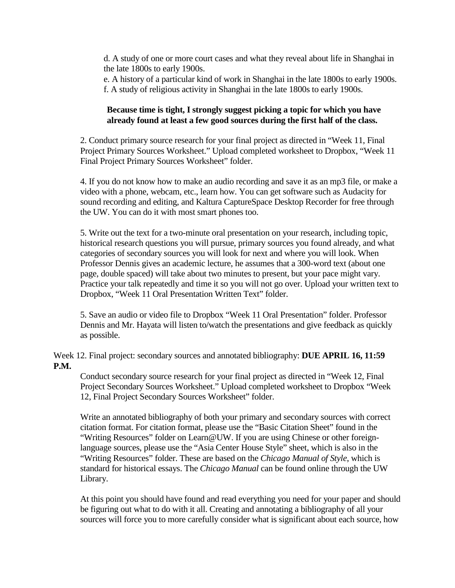d. A study of one or more court cases and what they reveal about life in Shanghai in the late 1800s to early 1900s.

e. A history of a particular kind of work in Shanghai in the late 1800s to early 1900s. f. A study of religious activity in Shanghai in the late 1800s to early 1900s.

## **Because time is tight, I strongly suggest picking a topic for which you have already found at least a few good sources during the first half of the class.**

2. Conduct primary source research for your final project as directed in "Week 11, Final Project Primary Sources Worksheet." Upload completed worksheet to Dropbox, "Week 11 Final Project Primary Sources Worksheet" folder.

4. If you do not know how to make an audio recording and save it as an mp3 file, or make a video with a phone, webcam, etc., learn how. You can get software such as Audacity for sound recording and editing, and Kaltura CaptureSpace Desktop Recorder for free through the UW. You can do it with most smart phones too.

5. Write out the text for a two-minute oral presentation on your research, including topic, historical research questions you will pursue, primary sources you found already, and what categories of secondary sources you will look for next and where you will look. When Professor Dennis gives an academic lecture, he assumes that a 300-word text (about one page, double spaced) will take about two minutes to present, but your pace might vary. Practice your talk repeatedly and time it so you will not go over. Upload your written text to Dropbox, "Week 11 Oral Presentation Written Text" folder.

5. Save an audio or video file to Dropbox "Week 11 Oral Presentation" folder. Professor Dennis and Mr. Hayata will listen to/watch the presentations and give feedback as quickly as possible.

Week 12. Final project: secondary sources and annotated bibliography: **DUE APRIL 16, 11:59 P.M.**

Conduct secondary source research for your final project as directed in "Week 12, Final Project Secondary Sources Worksheet." Upload completed worksheet to Dropbox "Week 12, Final Project Secondary Sources Worksheet" folder.

Write an annotated bibliography of both your primary and secondary sources with correct citation format. For citation format, please use the "Basic Citation Sheet" found in the "Writing Resources" folder on Learn@UW. If you are using Chinese or other foreignlanguage sources, please use the "Asia Center House Style" sheet, which is also in the "Writing Resources" folder. These are based on the *Chicago Manual of Style*, which is standard for historical essays. The *Chicago Manual* can be found online through the UW Library.

At this point you should have found and read everything you need for your paper and should be figuring out what to do with it all. Creating and annotating a bibliography of all your sources will force you to more carefully consider what is significant about each source, how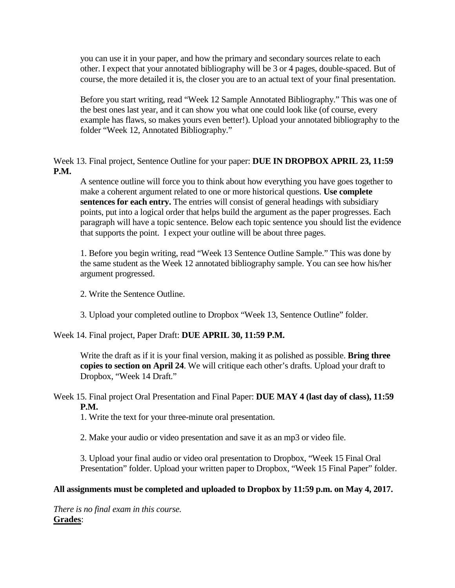you can use it in your paper, and how the primary and secondary sources relate to each other. I expect that your annotated bibliography will be 3 or 4 pages, double-spaced. But of course, the more detailed it is, the closer you are to an actual text of your final presentation.

Before you start writing, read "Week 12 Sample Annotated Bibliography." This was one of the best ones last year, and it can show you what one could look like (of course, every example has flaws, so makes yours even better!). Upload your annotated bibliography to the folder "Week 12, Annotated Bibliography."

Week 13. Final project, Sentence Outline for your paper: **DUE IN DROPBOX APRIL 23, 11:59 P.M.**

A sentence outline will force you to think about how everything you have goes together to make a coherent argument related to one or more historical questions. **Use complete sentences for each entry.** The entries will consist of general headings with subsidiary points, put into a logical order that helps build the argument as the paper progresses. Each paragraph will have a topic sentence. Below each topic sentence you should list the evidence that supports the point. I expect your outline will be about three pages.

1. Before you begin writing, read "Week 13 Sentence Outline Sample." This was done by the same student as the Week 12 annotated bibliography sample. You can see how his/her argument progressed.

2. Write the Sentence Outline.

3. Upload your completed outline to Dropbox "Week 13, Sentence Outline" folder.

Week 14. Final project, Paper Draft: **DUE APRIL 30, 11:59 P.M.**

Write the draft as if it is your final version, making it as polished as possible. **Bring three copies to section on April 24**. We will critique each other's drafts. Upload your draft to Dropbox, "Week 14 Draft."

# Week 15. Final project Oral Presentation and Final Paper: **DUE MAY 4 (last day of class), 11:59 P.M.**

1. Write the text for your three-minute oral presentation.

2. Make your audio or video presentation and save it as an mp3 or video file.

3. Upload your final audio or video oral presentation to Dropbox, "Week 15 Final Oral Presentation" folder. Upload your written paper to Dropbox, "Week 15 Final Paper" folder.

# **All assignments must be completed and uploaded to Dropbox by 11:59 p.m. on May 4, 2017.**

*There is no final exam in this course.* **Grades**: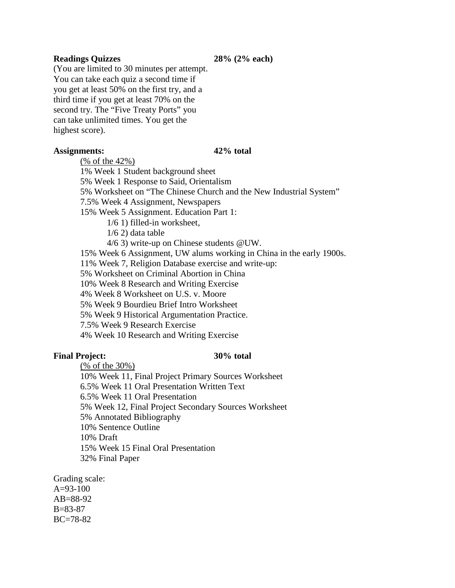#### **Readings Quizzes 28% (2% each)**

(You are limited to 30 minutes per attempt. You can take each quiz a second time if you get at least 50% on the first try, and a third time if you get at least 70% on the second try. The "Five Treaty Ports" you can take unlimited times. You get the highest score).

#### **Assignments: 42% total**

(% of the 42%)

1% Week 1 Student background sheet

5% Week 1 Response to Said, Orientalism

5% Worksheet on "The Chinese Church and the New Industrial System"

7.5% Week 4 Assignment, Newspapers

15% Week 5 Assignment. Education Part 1:

1/6 1) filled-in worksheet,

1/6 2) data table

4/6 3) write-up on Chinese students @UW.

15% Week 6 Assignment, UW alums working in China in the early 1900s.

11% Week 7, Religion Database exercise and write-up:

5% Worksheet on Criminal Abortion in China

10% Week 8 Research and Writing Exercise

4% Week 8 Worksheet on U.S. v. Moore

5% Week 9 Bourdieu Brief Intro Worksheet

5% Week 9 Historical Argumentation Practice.

7.5% Week 9 Research Exercise

4% Week 10 Research and Writing Exercise

#### **Final Project: 30% total**

(% of the 30%)

10% Week 11, Final Project Primary Sources Worksheet 6.5% Week 11 Oral Presentation Written Text 6.5% Week 11 Oral Presentation 5% Week 12, Final Project Secondary Sources Worksheet 5% Annotated Bibliography 10% Sentence Outline 10% Draft 15% Week 15 Final Oral Presentation 32% Final Paper

Grading scale:  $A=93-100$ AB=88-92 B=83-87 BC=78-82